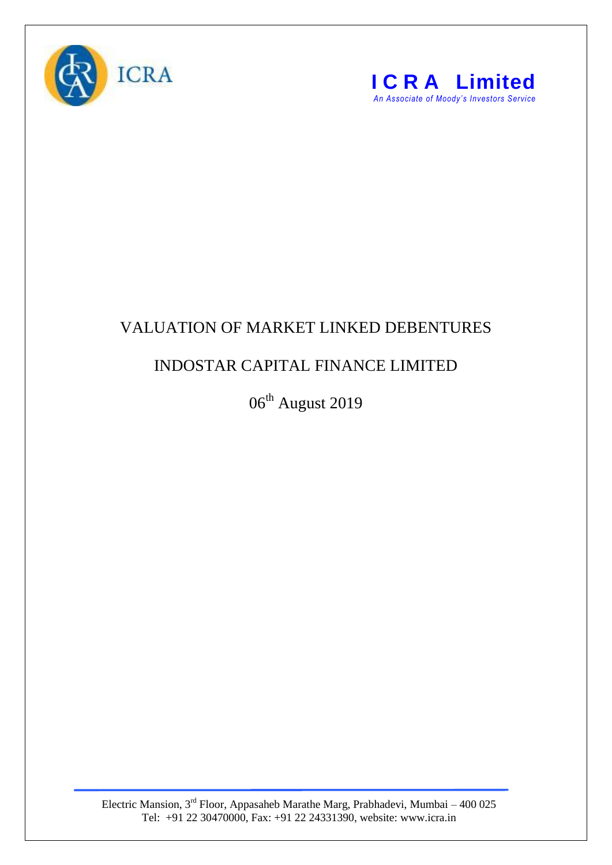



## VALUATION OF MARKET LINKED DEBENTURES

## INDOSTAR CAPITAL FINANCE LIMITED

06<sup>th</sup> August 2019

Electric Mansion,  $3<sup>rd</sup>$  Floor, Appasaheb Marathe Marg, Prabhadevi, Mumbai – 400 025 Tel: +91 22 30470000, Fax: +91 22 24331390, website: www.icra.in